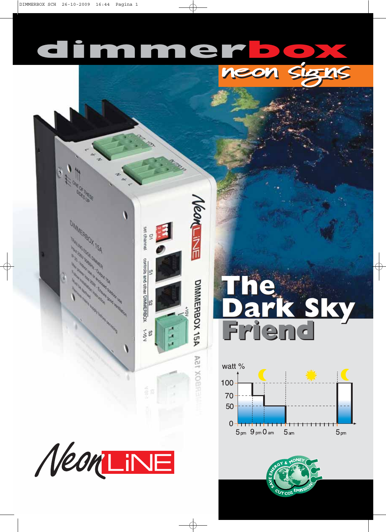## dimmerbox







**neon signs neon signs**